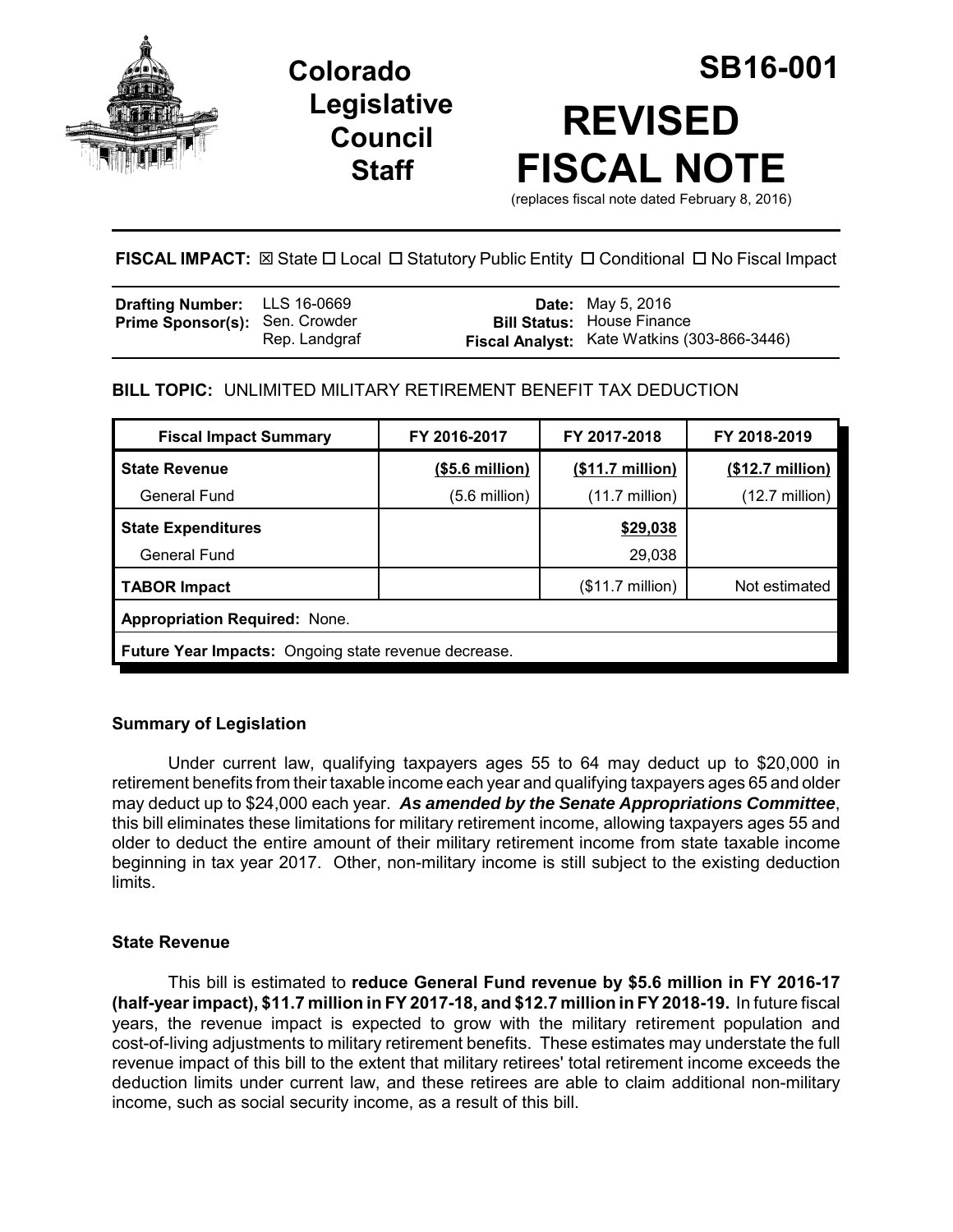

# **Legislative Council Staff**

# **Colorado SB16-001 REVISED FISCAL NOTE**

(replaces fiscal note dated February 8, 2016)

## **FISCAL IMPACT:** ⊠ State □ Local □ Statutory Public Entity □ Conditional □ No Fiscal Impact

| <b>Drafting Number:</b> LLS 16-0669   |               | <b>Date:</b> May 5, 2016                    |
|---------------------------------------|---------------|---------------------------------------------|
| <b>Prime Sponsor(s): Sen. Crowder</b> |               | <b>Bill Status: House Finance</b>           |
|                                       | Rep. Landgraf | Fiscal Analyst: Kate Watkins (303-866-3446) |

### **BILL TOPIC:** UNLIMITED MILITARY RETIREMENT BENEFIT TAX DEDUCTION

| <b>Fiscal Impact Summary</b>                         | FY 2016-2017            | FY 2017-2018              | FY 2018-2019     |  |  |
|------------------------------------------------------|-------------------------|---------------------------|------------------|--|--|
| <b>State Revenue</b>                                 | (\$5.6 million)         | (\$11.7 million)          | (\$12.7 million) |  |  |
| General Fund                                         | $(5.6 \text{ million})$ | $(11.7 \text{ million})$  | (12.7 million)   |  |  |
| <b>State Expenditures</b>                            |                         | \$29,038                  |                  |  |  |
| General Fund                                         |                         | 29,038                    |                  |  |  |
| <b>TABOR Impact</b>                                  |                         | $($11.7 \text{ million})$ | Not estimated    |  |  |
| <b>Appropriation Required: None.</b>                 |                         |                           |                  |  |  |
| Future Year Impacts: Ongoing state revenue decrease. |                         |                           |                  |  |  |

#### **Summary of Legislation**

Under current law, qualifying taxpayers ages 55 to 64 may deduct up to \$20,000 in retirement benefits from their taxable income each year and qualifying taxpayers ages 65 and older may deduct up to \$24,000 each year. *As amended by the Senate Appropriations Committee*, this bill eliminates these limitations for military retirement income, allowing taxpayers ages 55 and older to deduct the entire amount of their military retirement income from state taxable income beginning in tax year 2017. Other, non-military income is still subject to the existing deduction limits.

#### **State Revenue**

This bill is estimated to **reduce General Fund revenue by \$5.6 million in FY 2016-17 (half-year impact), \$11.7 million in FY 2017-18, and \$12.7 million in FY 2018-19.** In future fiscal years, the revenue impact is expected to grow with the military retirement population and cost-of-living adjustments to military retirement benefits. These estimates may understate the full revenue impact of this bill to the extent that military retirees' total retirement income exceeds the deduction limits under current law, and these retirees are able to claim additional non-military income, such as social security income, as a result of this bill.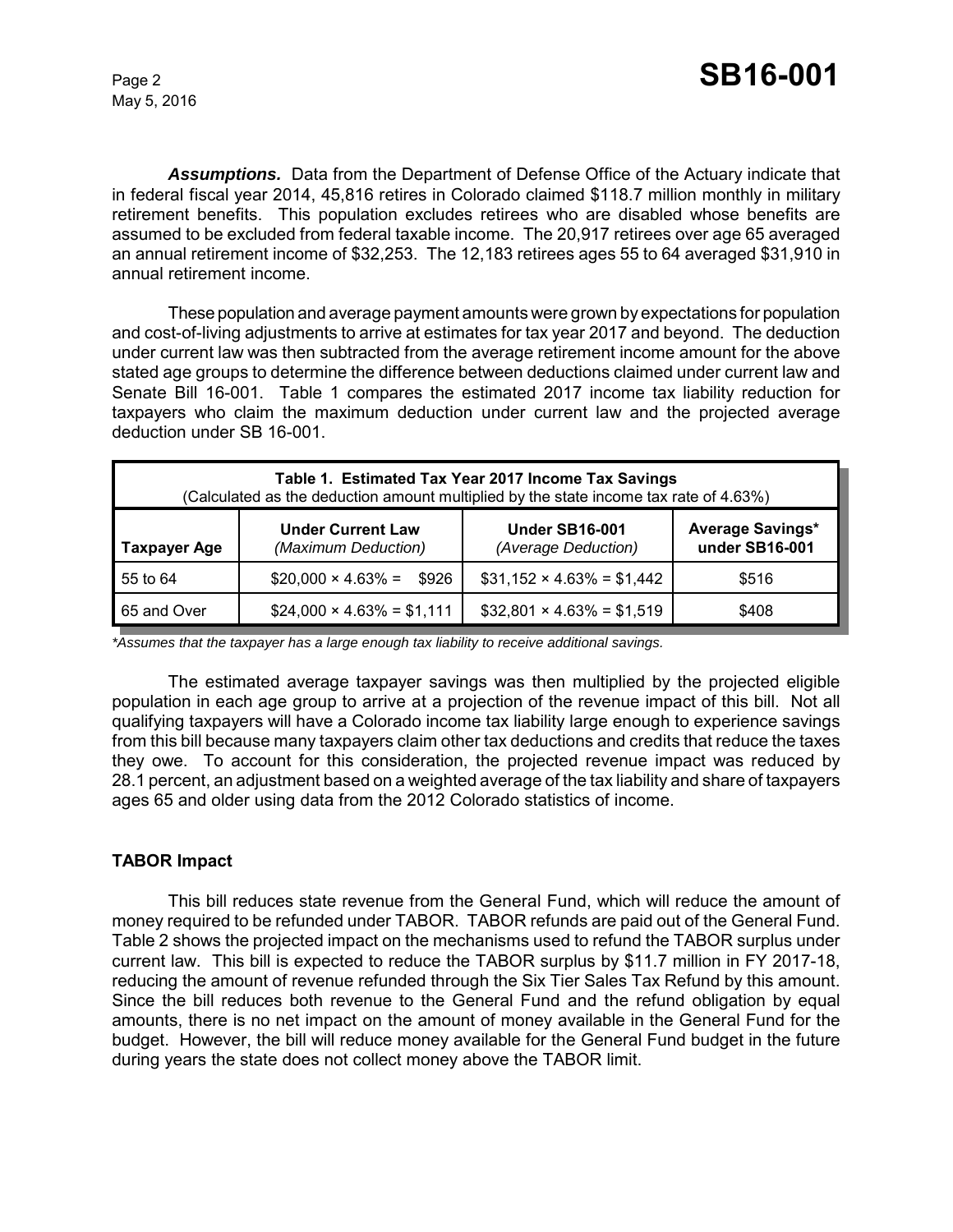May 5, 2016

*Assumptions.* Data from the Department of Defense Office of the Actuary indicate that in federal fiscal year 2014, 45,816 retires in Colorado claimed \$118.7 million monthly in military retirement benefits. This population excludes retirees who are disabled whose benefits are assumed to be excluded from federal taxable income. The 20,917 retirees over age 65 averaged an annual retirement income of \$32,253. The 12,183 retirees ages 55 to 64 averaged \$31,910 in annual retirement income.

These population and average payment amounts were grown by expectations for population and cost-of-living adjustments to arrive at estimates for tax year 2017 and beyond. The deduction under current law was then subtracted from the average retirement income amount for the above stated age groups to determine the difference between deductions claimed under current law and Senate Bill 16-001. Table 1 compares the estimated 2017 income tax liability reduction for taxpayers who claim the maximum deduction under current law and the projected average deduction under SB 16-001.

| Table 1. Estimated Tax Year 2017 Income Tax Savings<br>(Calculated as the deduction amount multiplied by the state income tax rate of 4.63%) |                                                 |                                              |                                           |  |  |
|----------------------------------------------------------------------------------------------------------------------------------------------|-------------------------------------------------|----------------------------------------------|-------------------------------------------|--|--|
| <b>Taxpayer Age</b>                                                                                                                          | <b>Under Current Law</b><br>(Maximum Deduction) | <b>Under SB16-001</b><br>(Average Deduction) | <b>Average Savings*</b><br>under SB16-001 |  |  |
| 55 to 64                                                                                                                                     | $$20,000 \times 4.63\% =$<br>\$926              | $$31,152 \times 4.63\% = $1,442$             | \$516                                     |  |  |
| 65 and Over                                                                                                                                  | $$24,000 \times 4.63\% = $1,111$                | $$32,801 \times 4.63\% = $1,519$             | \$408                                     |  |  |

*\*Assumes that the taxpayer has a large enough tax liability to receive additional savings.*

The estimated average taxpayer savings was then multiplied by the projected eligible population in each age group to arrive at a projection of the revenue impact of this bill. Not all qualifying taxpayers will have a Colorado income tax liability large enough to experience savings from this bill because many taxpayers claim other tax deductions and credits that reduce the taxes they owe. To account for this consideration, the projected revenue impact was reduced by 28.1 percent, an adjustment based on a weighted average of the tax liability and share of taxpayers ages 65 and older using data from the 2012 Colorado statistics of income.

#### **TABOR Impact**

This bill reduces state revenue from the General Fund, which will reduce the amount of money required to be refunded under TABOR. TABOR refunds are paid out of the General Fund. Table 2 shows the projected impact on the mechanisms used to refund the TABOR surplus under current law. This bill is expected to reduce the TABOR surplus by \$11.7 million in FY 2017-18, reducing the amount of revenue refunded through the Six Tier Sales Tax Refund by this amount. Since the bill reduces both revenue to the General Fund and the refund obligation by equal amounts, there is no net impact on the amount of money available in the General Fund for the budget. However, the bill will reduce money available for the General Fund budget in the future during years the state does not collect money above the TABOR limit.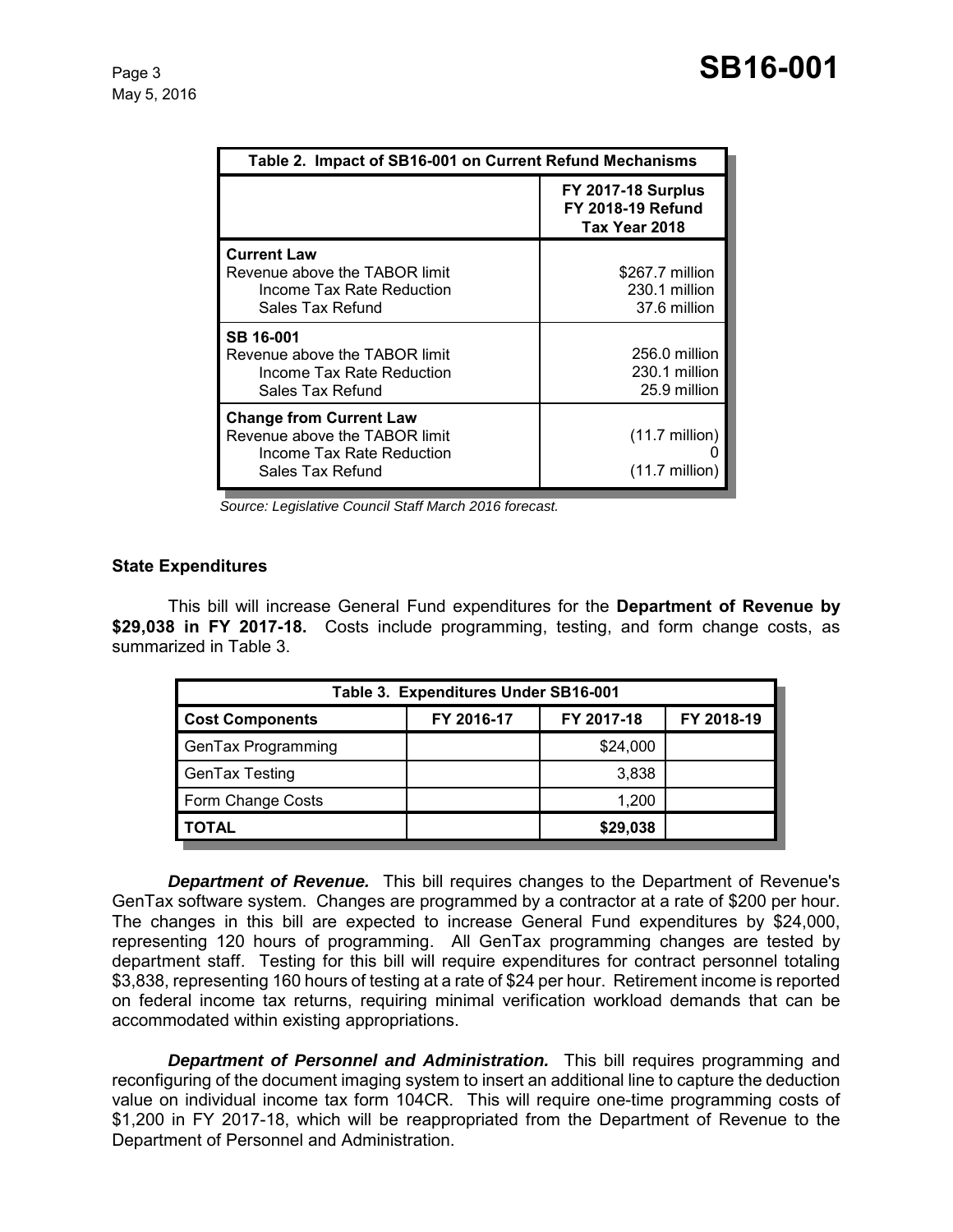| Table 2. Impact of SB16-001 on Current Refund Mechanisms                                                         |                                                                        |  |
|------------------------------------------------------------------------------------------------------------------|------------------------------------------------------------------------|--|
|                                                                                                                  | <b>FY 2017-18 Surplus</b><br><b>FY 2018-19 Refund</b><br>Tax Year 2018 |  |
| <b>Current Law</b><br>Revenue above the TABOR limit<br>Income Tax Rate Reduction<br>Sales Tax Refund             | \$267.7 million<br>230.1 million<br>37.6 million                       |  |
| SB 16-001<br>Revenue above the TABOR limit<br>Income Tax Rate Reduction<br>Sales Tax Refund                      | 256.0 million<br>230.1 million<br>25.9 million                         |  |
| <b>Change from Current Law</b><br>Revenue above the TABOR limit<br>Income Tax Rate Reduction<br>Sales Tax Refund | $(11.7$ million)<br>$(11.7 \text{ million})$                           |  |

 *Source: Legislative Council Staff March 2016 forecast.*

#### **State Expenditures**

This bill will increase General Fund expenditures for the **Department of Revenue by \$29,038 in FY 2017-18.** Costs include programming, testing, and form change costs, as summarized in Table 3.

| Table 3. Expenditures Under SB16-001 |            |            |            |  |  |
|--------------------------------------|------------|------------|------------|--|--|
| <b>Cost Components</b>               | FY 2016-17 | FY 2017-18 | FY 2018-19 |  |  |
| GenTax Programming                   |            | \$24,000   |            |  |  |
| GenTax Testing                       |            | 3,838      |            |  |  |
| Form Change Costs                    |            | 1,200      |            |  |  |
| TOTAL                                |            | \$29,038   |            |  |  |

*Department of Revenue.* This bill requires changes to the Department of Revenue's GenTax software system. Changes are programmed by a contractor at a rate of \$200 per hour. The changes in this bill are expected to increase General Fund expenditures by \$24,000, representing 120 hours of programming. All GenTax programming changes are tested by department staff. Testing for this bill will require expenditures for contract personnel totaling \$3,838, representing 160 hours of testing at a rate of \$24 per hour. Retirement income is reported on federal income tax returns, requiring minimal verification workload demands that can be accommodated within existing appropriations.

*Department of Personnel and Administration.* This bill requires programming and reconfiguring of the document imaging system to insert an additional line to capture the deduction value on individual income tax form 104CR. This will require one-time programming costs of \$1,200 in FY 2017-18, which will be reappropriated from the Department of Revenue to the Department of Personnel and Administration.